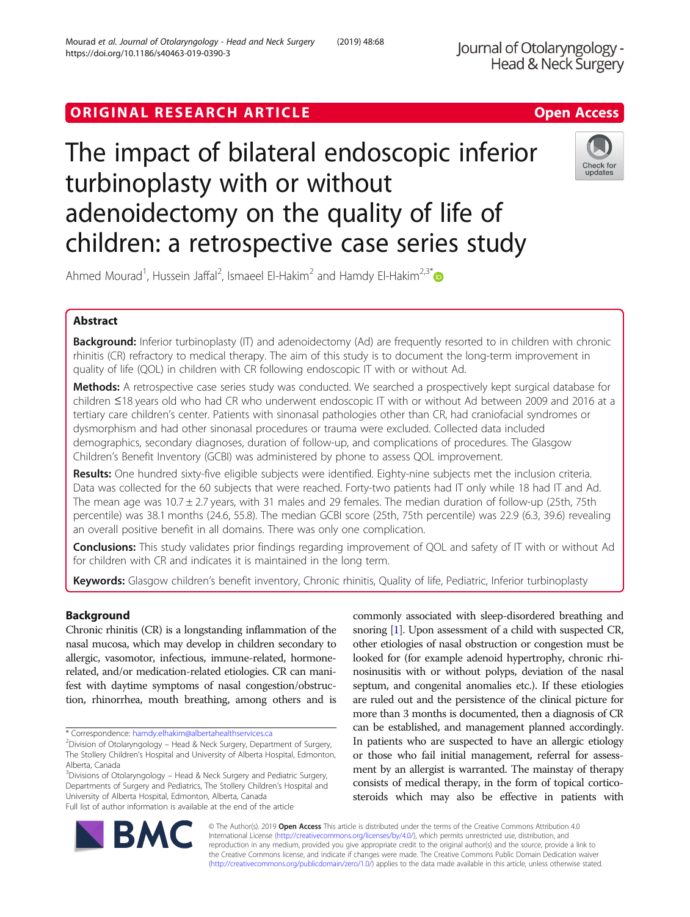# ORIGINAL RESEARCH ARTICLE **Example 20 and 20 and 20 and 20 and 20 and 20 and 20 and 20 and 20 and 20 and 20 and 20 and 20 and 20 and 20 and 20 and 20 and 20 and 20 and 20 and 20 and 20 and 20 and 20 and 20 and 20 and 20 an**

# The impact of bilateral endoscopic inferior turbinoplasty with or without adenoidectomy on the quality of life of children: a retrospective case series study



Ahmed Mourad<sup>1</sup>, Hussein Jaffal<sup>2</sup>, Ismaeel El-Hakim<sup>2</sup> and Hamdy El-Hakim<sup>2,3[\\*](http://orcid.org/0000-0001-9349-8239)</sup>

# Abstract

Background: Inferior turbinoplasty (IT) and adenoidectomy (Ad) are frequently resorted to in children with chronic rhinitis (CR) refractory to medical therapy. The aim of this study is to document the long-term improvement in quality of life (QOL) in children with CR following endoscopic IT with or without Ad.

Methods: A retrospective case series study was conducted. We searched a prospectively kept surgical database for children ≤18 years old who had CR who underwent endoscopic IT with or without Ad between 2009 and 2016 at a tertiary care children's center. Patients with sinonasal pathologies other than CR, had craniofacial syndromes or dysmorphism and had other sinonasal procedures or trauma were excluded. Collected data included demographics, secondary diagnoses, duration of follow-up, and complications of procedures. The Glasgow Children's Benefit Inventory (GCBI) was administered by phone to assess QOL improvement.

Results: One hundred sixty-five eligible subjects were identified. Eighty-nine subjects met the inclusion criteria. Data was collected for the 60 subjects that were reached. Forty-two patients had IT only while 18 had IT and Ad. The mean age was 10.7 ± 2.7 years, with 31 males and 29 females. The median duration of follow-up (25th, 75th percentile) was 38.1 months (24.6, 55.8). The median GCBI score (25th, 75th percentile) was 22.9 (6.3, 39.6) revealing an overall positive benefit in all domains. There was only one complication.

Conclusions: This study validates prior findings regarding improvement of QOL and safety of IT with or without Ad for children with CR and indicates it is maintained in the long term.

Keywords: Glasgow children's benefit inventory, Chronic rhinitis, Quality of life, Pediatric, Inferior turbinoplasty

# Background

Chronic rhinitis (CR) is a longstanding inflammation of the nasal mucosa, which may develop in children secondary to allergic, vasomotor, infectious, immune-related, hormonerelated, and/or medication-related etiologies. CR can manifest with daytime symptoms of nasal congestion/obstruction, rhinorrhea, mouth breathing, among others and is

\* Correspondence: [hamdy.elhakim@albertahealthservices.ca](mailto:hamdy.elhakim@albertahealthservices.ca) <sup>2</sup>

<sup>3</sup>Divisions of Otolaryngology – Head & Neck Surgery and Pediatric Surgery, Departments of Surgery and Pediatrics, The Stollery Children's Hospital and University of Alberta Hospital, Edmonton, Alberta, Canada Full list of author information is available at the end of the article

commonly associated with sleep-disordered breathing and snoring [\[1\]](#page-5-0). Upon assessment of a child with suspected CR, other etiologies of nasal obstruction or congestion must be looked for (for example adenoid hypertrophy, chronic rhinosinusitis with or without polyps, deviation of the nasal septum, and congenital anomalies etc.). If these etiologies are ruled out and the persistence of the clinical picture for more than 3 months is documented, then a diagnosis of CR can be established, and management planned accordingly. In patients who are suspected to have an allergic etiology or those who fail initial management, referral for assessment by an allergist is warranted. The mainstay of therapy consists of medical therapy, in the form of topical corticosteroids which may also be effective in patients with



© The Author(s). 2019 **Open Access** This article is distributed under the terms of the Creative Commons Attribution 4.0 International License [\(http://creativecommons.org/licenses/by/4.0/](http://creativecommons.org/licenses/by/4.0/)), which permits unrestricted use, distribution, and reproduction in any medium, provided you give appropriate credit to the original author(s) and the source, provide a link to the Creative Commons license, and indicate if changes were made. The Creative Commons Public Domain Dedication waiver [\(http://creativecommons.org/publicdomain/zero/1.0/](http://creativecommons.org/publicdomain/zero/1.0/)) applies to the data made available in this article, unless otherwise stated.

 $2$ Division of Otolaryngology – Head & Neck Surgery, Department of Surgery, The Stollery Children's Hospital and University of Alberta Hospital, Edmonton, Alberta, Canada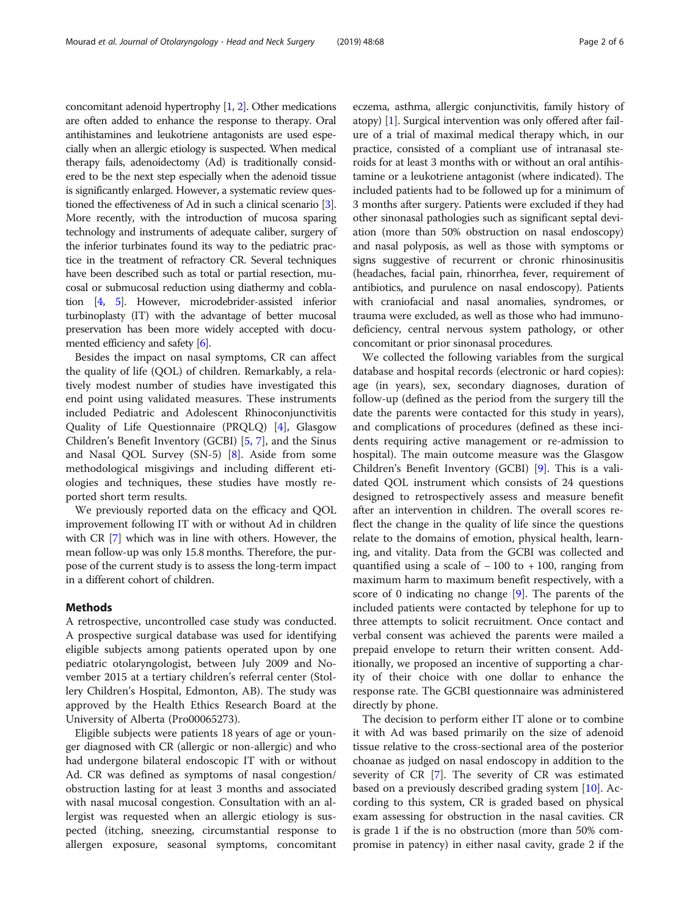concomitant adenoid hypertrophy [[1](#page-5-0), [2\]](#page-5-0). Other medications are often added to enhance the response to therapy. Oral antihistamines and leukotriene antagonists are used especially when an allergic etiology is suspected. When medical therapy fails, adenoidectomy (Ad) is traditionally considered to be the next step especially when the adenoid tissue is significantly enlarged. However, a systematic review questioned the effectiveness of Ad in such a clinical scenario [[3](#page-5-0)]. More recently, with the introduction of mucosa sparing technology and instruments of adequate caliber, surgery of the inferior turbinates found its way to the pediatric practice in the treatment of refractory CR. Several techniques have been described such as total or partial resection, mucosal or submucosal reduction using diathermy and coblation [\[4,](#page-5-0) [5](#page-5-0)]. However, microdebrider-assisted inferior turbinoplasty (IT) with the advantage of better mucosal preservation has been more widely accepted with documented efficiency and safety [[6](#page-5-0)].

Besides the impact on nasal symptoms, CR can affect the quality of life (QOL) of children. Remarkably, a relatively modest number of studies have investigated this end point using validated measures. These instruments included Pediatric and Adolescent Rhinoconjunctivitis Quality of Life Questionnaire (PRQLQ) [[4\]](#page-5-0), Glasgow Children's Benefit Inventory (GCBI) [[5,](#page-5-0) [7](#page-5-0)], and the Sinus and Nasal QOL Survey (SN-5) [[8\]](#page-5-0). Aside from some methodological misgivings and including different etiologies and techniques, these studies have mostly reported short term results.

We previously reported data on the efficacy and QOL improvement following IT with or without Ad in children with CR [\[7\]](#page-5-0) which was in line with others. However, the mean follow-up was only 15.8 months. Therefore, the purpose of the current study is to assess the long-term impact in a different cohort of children.

#### Methods

A retrospective, uncontrolled case study was conducted. A prospective surgical database was used for identifying eligible subjects among patients operated upon by one pediatric otolaryngologist, between July 2009 and November 2015 at a tertiary children's referral center (Stollery Children's Hospital, Edmonton, AB). The study was approved by the Health Ethics Research Board at the University of Alberta (Pro00065273).

Eligible subjects were patients 18 years of age or younger diagnosed with CR (allergic or non-allergic) and who had undergone bilateral endoscopic IT with or without Ad. CR was defined as symptoms of nasal congestion/ obstruction lasting for at least 3 months and associated with nasal mucosal congestion. Consultation with an allergist was requested when an allergic etiology is suspected (itching, sneezing, circumstantial response to allergen exposure, seasonal symptoms, concomitant eczema, asthma, allergic conjunctivitis, family history of atopy) [\[1](#page-5-0)]. Surgical intervention was only offered after failure of a trial of maximal medical therapy which, in our practice, consisted of a compliant use of intranasal steroids for at least 3 months with or without an oral antihistamine or a leukotriene antagonist (where indicated). The included patients had to be followed up for a minimum of 3 months after surgery. Patients were excluded if they had other sinonasal pathologies such as significant septal deviation (more than 50% obstruction on nasal endoscopy) and nasal polyposis, as well as those with symptoms or signs suggestive of recurrent or chronic rhinosinusitis (headaches, facial pain, rhinorrhea, fever, requirement of antibiotics, and purulence on nasal endoscopy). Patients with craniofacial and nasal anomalies, syndromes, or trauma were excluded, as well as those who had immunodeficiency, central nervous system pathology, or other concomitant or prior sinonasal procedures.

We collected the following variables from the surgical database and hospital records (electronic or hard copies): age (in years), sex, secondary diagnoses, duration of follow-up (defined as the period from the surgery till the date the parents were contacted for this study in years), and complications of procedures (defined as these incidents requiring active management or re-admission to hospital). The main outcome measure was the Glasgow Children's Benefit Inventory (GCBI) [\[9](#page-5-0)]. This is a validated QOL instrument which consists of 24 questions designed to retrospectively assess and measure benefit after an intervention in children. The overall scores reflect the change in the quality of life since the questions relate to the domains of emotion, physical health, learning, and vitality. Data from the GCBI was collected and quantified using a scale of − 100 to + 100, ranging from maximum harm to maximum benefit respectively, with a score of 0 indicating no change [\[9](#page-5-0)]. The parents of the included patients were contacted by telephone for up to three attempts to solicit recruitment. Once contact and verbal consent was achieved the parents were mailed a prepaid envelope to return their written consent. Additionally, we proposed an incentive of supporting a charity of their choice with one dollar to enhance the response rate. The GCBI questionnaire was administered directly by phone.

The decision to perform either IT alone or to combine it with Ad was based primarily on the size of adenoid tissue relative to the cross-sectional area of the posterior choanae as judged on nasal endoscopy in addition to the severity of CR [\[7\]](#page-5-0). The severity of CR was estimated based on a previously described grading system [\[10](#page-5-0)]. According to this system, CR is graded based on physical exam assessing for obstruction in the nasal cavities. CR is grade 1 if the is no obstruction (more than 50% compromise in patency) in either nasal cavity, grade 2 if the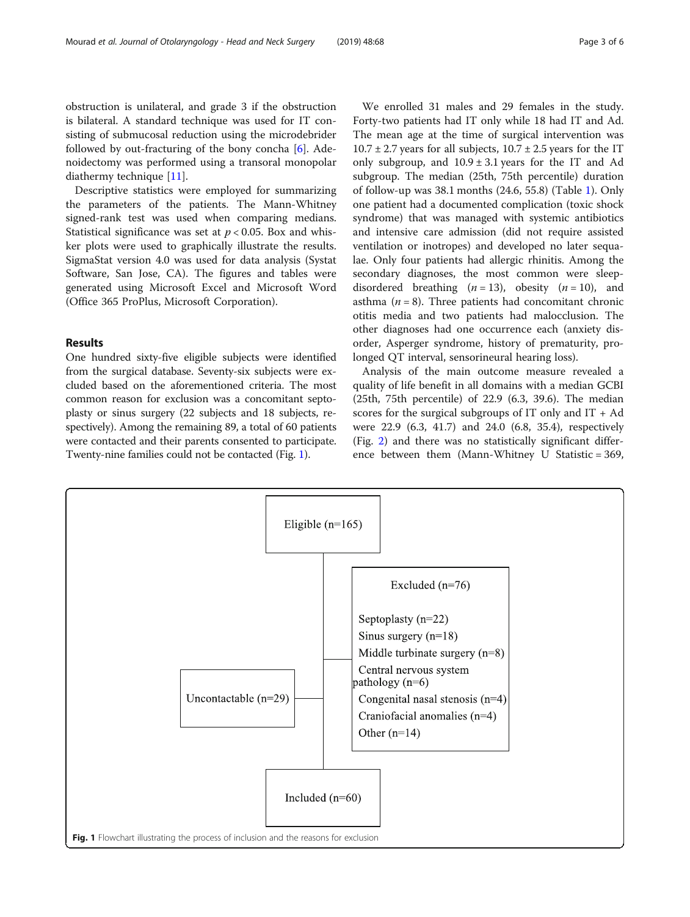obstruction is unilateral, and grade 3 if the obstruction is bilateral. A standard technique was used for IT consisting of submucosal reduction using the microdebrider followed by out-fracturing of the bony concha  $[6]$  $[6]$  $[6]$ . Adenoidectomy was performed using a transoral monopolar diathermy technique [\[11](#page-5-0)].

Descriptive statistics were employed for summarizing the parameters of the patients. The Mann-Whitney signed-rank test was used when comparing medians. Statistical significance was set at  $p < 0.05$ . Box and whisker plots were used to graphically illustrate the results. SigmaStat version 4.0 was used for data analysis (Systat Software, San Jose, CA). The figures and tables were generated using Microsoft Excel and Microsoft Word (Office 365 ProPlus, Microsoft Corporation).

### Results

One hundred sixty-five eligible subjects were identified from the surgical database. Seventy-six subjects were excluded based on the aforementioned criteria. The most common reason for exclusion was a concomitant septoplasty or sinus surgery (22 subjects and 18 subjects, respectively). Among the remaining 89, a total of 60 patients were contacted and their parents consented to participate. Twenty-nine families could not be contacted (Fig. 1).

We enrolled 31 males and 29 females in the study. Forty-two patients had IT only while 18 had IT and Ad. The mean age at the time of surgical intervention was  $10.7 \pm 2.7$  years for all subjects,  $10.7 \pm 2.5$  years for the IT only subgroup, and  $10.9 \pm 3.1$  years for the IT and Ad subgroup. The median (25th, 75th percentile) duration of follow-up was 38.1 months (24.6, 55.8) (Table [1](#page-3-0)). Only one patient had a documented complication (toxic shock syndrome) that was managed with systemic antibiotics and intensive care admission (did not require assisted ventilation or inotropes) and developed no later sequalae. Only four patients had allergic rhinitis. Among the secondary diagnoses, the most common were sleepdisordered breathing  $(n = 13)$ , obesity  $(n = 10)$ , and asthma ( $n = 8$ ). Three patients had concomitant chronic otitis media and two patients had malocclusion. The other diagnoses had one occurrence each (anxiety disorder, Asperger syndrome, history of prematurity, prolonged QT interval, sensorineural hearing loss).

Analysis of the main outcome measure revealed a quality of life benefit in all domains with a median GCBI (25th, 75th percentile) of 22.9 (6.3, 39.6). The median scores for the surgical subgroups of IT only and  $IT + Ad$ were 22.9 (6.3, 41.7) and 24.0 (6.8, 35.4), respectively (Fig. [2\)](#page-3-0) and there was no statistically significant difference between them (Mann-Whitney U Statistic = 369,

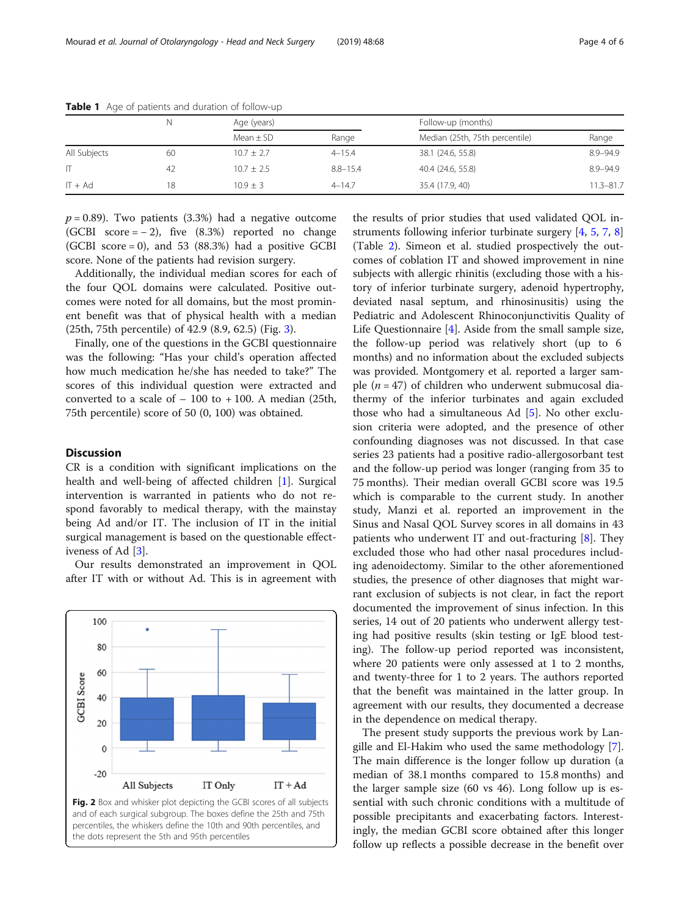|              |    | Age (years)    |              | Follow-up (months)             |               |
|--------------|----|----------------|--------------|--------------------------------|---------------|
|              |    | Mean $\pm$ SD  | Range        | Median (25th, 75th percentile) | Range         |
| All Subjects | 60 | $10.7 \pm 2.7$ | $4 - 15.4$   | 38.1 (24.6, 55.8)              | $8.9 - 94.9$  |
|              | 42 | $10.7 + 2.5$   | $8.8 - 15.4$ | 40.4 (24.6, 55.8)              | $8.9 - 94.9$  |
| $IT + Ad$    | 18 | $10.9 + 3$     | $4 - 14.7$   | 35.4 (17.9, 40)                | $11.3 - 81.7$ |

<span id="page-3-0"></span>Table 1 Age of patients and duration of follow-up

 $p = 0.89$ ). Two patients (3.3%) had a negative outcome (GCBI score =  $-2$ ), five (8.3%) reported no change (GCBI score  $= 0$ ), and 53 (88.3%) had a positive GCBI score. None of the patients had revision surgery.

Additionally, the individual median scores for each of the four QOL domains were calculated. Positive outcomes were noted for all domains, but the most prominent benefit was that of physical health with a median (25th, 75th percentile) of 42.9 (8.9, 62.5) (Fig. [3](#page-4-0)).

Finally, one of the questions in the GCBI questionnaire was the following: "Has your child's operation affected how much medication he/she has needed to take?" The scores of this individual question were extracted and converted to a scale of  $-100$  to  $+100$ . A median (25th, 75th percentile) score of 50 (0, 100) was obtained.

#### **Discussion**

CR is a condition with significant implications on the health and well-being of affected children [\[1\]](#page-5-0). Surgical intervention is warranted in patients who do not respond favorably to medical therapy, with the mainstay being Ad and/or IT. The inclusion of IT in the initial surgical management is based on the questionable effectiveness of Ad [[3\]](#page-5-0).

Our results demonstrated an improvement in QOL after IT with or without Ad. This is in agreement with



the results of prior studies that used validated QOL instruments following inferior turbinate surgery [[4,](#page-5-0) [5,](#page-5-0) [7](#page-5-0), [8](#page-5-0)] (Table [2](#page-4-0)). Simeon et al. studied prospectively the outcomes of coblation IT and showed improvement in nine subjects with allergic rhinitis (excluding those with a history of inferior turbinate surgery, adenoid hypertrophy, deviated nasal septum, and rhinosinusitis) using the Pediatric and Adolescent Rhinoconjunctivitis Quality of Life Questionnaire [\[4](#page-5-0)]. Aside from the small sample size, the follow-up period was relatively short (up to 6 months) and no information about the excluded subjects was provided. Montgomery et al. reported a larger sample ( $n = 47$ ) of children who underwent submucosal diathermy of the inferior turbinates and again excluded those who had a simultaneous Ad [[5\]](#page-5-0). No other exclusion criteria were adopted, and the presence of other confounding diagnoses was not discussed. In that case series 23 patients had a positive radio-allergosorbant test and the follow-up period was longer (ranging from 35 to 75 months). Their median overall GCBI score was 19.5 which is comparable to the current study. In another study, Manzi et al. reported an improvement in the Sinus and Nasal QOL Survey scores in all domains in 43 patients who underwent IT and out-fracturing [\[8](#page-5-0)]. They excluded those who had other nasal procedures including adenoidectomy. Similar to the other aforementioned studies, the presence of other diagnoses that might warrant exclusion of subjects is not clear, in fact the report documented the improvement of sinus infection. In this series, 14 out of 20 patients who underwent allergy testing had positive results (skin testing or IgE blood testing). The follow-up period reported was inconsistent, where 20 patients were only assessed at 1 to 2 months, and twenty-three for 1 to 2 years. The authors reported that the benefit was maintained in the latter group. In agreement with our results, they documented a decrease in the dependence on medical therapy.

The present study supports the previous work by Langille and El-Hakim who used the same methodology [\[7](#page-5-0)]. The main difference is the longer follow up duration (a median of 38.1 months compared to 15.8 months) and the larger sample size (60 vs 46). Long follow up is essential with such chronic conditions with a multitude of possible precipitants and exacerbating factors. Interestingly, the median GCBI score obtained after this longer follow up reflects a possible decrease in the benefit over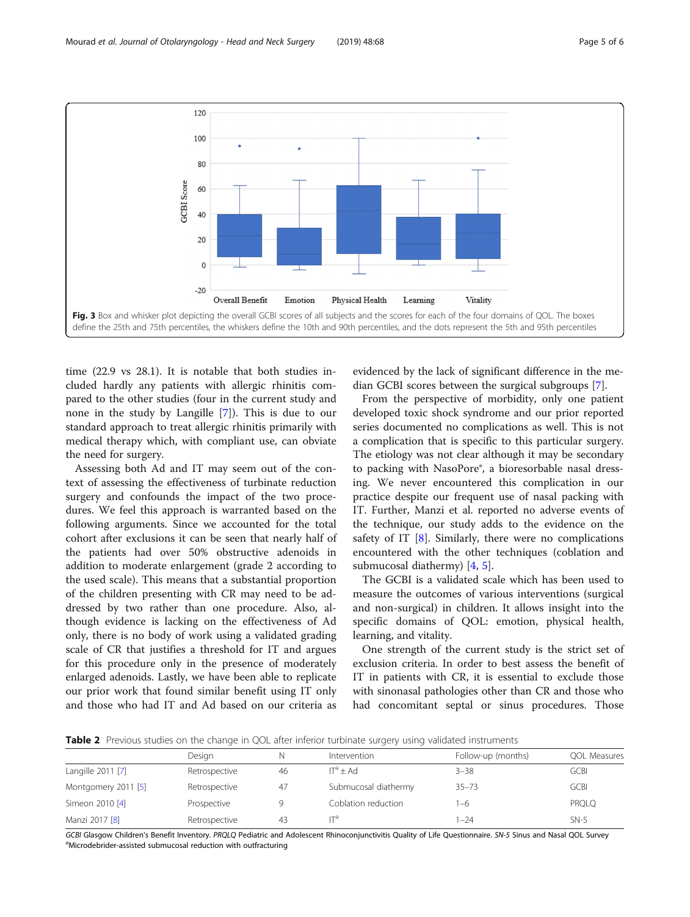<span id="page-4-0"></span>

time (22.9 vs 28.1). It is notable that both studies included hardly any patients with allergic rhinitis compared to the other studies (four in the current study and none in the study by Langille [\[7](#page-5-0)]). This is due to our standard approach to treat allergic rhinitis primarily with medical therapy which, with compliant use, can obviate the need for surgery.

Assessing both Ad and IT may seem out of the context of assessing the effectiveness of turbinate reduction surgery and confounds the impact of the two procedures. We feel this approach is warranted based on the following arguments. Since we accounted for the total cohort after exclusions it can be seen that nearly half of the patients had over 50% obstructive adenoids in addition to moderate enlargement (grade 2 according to the used scale). This means that a substantial proportion of the children presenting with CR may need to be addressed by two rather than one procedure. Also, although evidence is lacking on the effectiveness of Ad only, there is no body of work using a validated grading scale of CR that justifies a threshold for IT and argues for this procedure only in the presence of moderately enlarged adenoids. Lastly, we have been able to replicate our prior work that found similar benefit using IT only and those who had IT and Ad based on our criteria as

evidenced by the lack of significant difference in the median GCBI scores between the surgical subgroups [\[7](#page-5-0)].

From the perspective of morbidity, only one patient developed toxic shock syndrome and our prior reported series documented no complications as well. This is not a complication that is specific to this particular surgery. The etiology was not clear although it may be secondary to packing with NasoPore®, a bioresorbable nasal dressing. We never encountered this complication in our practice despite our frequent use of nasal packing with IT. Further, Manzi et al. reported no adverse events of the technique, our study adds to the evidence on the safety of IT  $[8]$  $[8]$ . Similarly, there were no complications encountered with the other techniques (coblation and submucosal diathermy) [\[4](#page-5-0), [5](#page-5-0)].

The GCBI is a validated scale which has been used to measure the outcomes of various interventions (surgical and non-surgical) in children. It allows insight into the specific domains of QOL: emotion, physical health, learning, and vitality.

One strength of the current study is the strict set of exclusion criteria. In order to best assess the benefit of IT in patients with CR, it is essential to exclude those with sinonasal pathologies other than CR and those who had concomitant septal or sinus procedures. Those

**Table 2** Previous studies on the change in QOL after inferior turbinate surgery using validated instruments

|                     | Design        |    | Intervention         | Follow-up (months) | <b>QOL Measures</b> |
|---------------------|---------------|----|----------------------|--------------------|---------------------|
| Langille 2011 [7]   | Retrospective | 46 | $IT^a + Ad$          | $3 - 38$           | GCBI                |
| Montgomery 2011 [5] | Retrospective | 47 | Submucosal diathermy | $35 - 73$          | <b>GCBI</b>         |
| Simeon 2010 [4]     | Prospective   |    | Coblation reduction  | $-6$               | PRQLQ               |
| Manzi 2017 [8]      | Retrospective | 43 |                      | $ -24$             | $SN-5$              |

GCBI Glasgow Children's Benefit Inventory. PRQLQ Pediatric and Adolescent Rhinoconjunctivitis Quality of Life Questionnaire. SN-5 Sinus and Nasal QOL Survey Microdebrider-assisted submucosal reduction with outfracturing